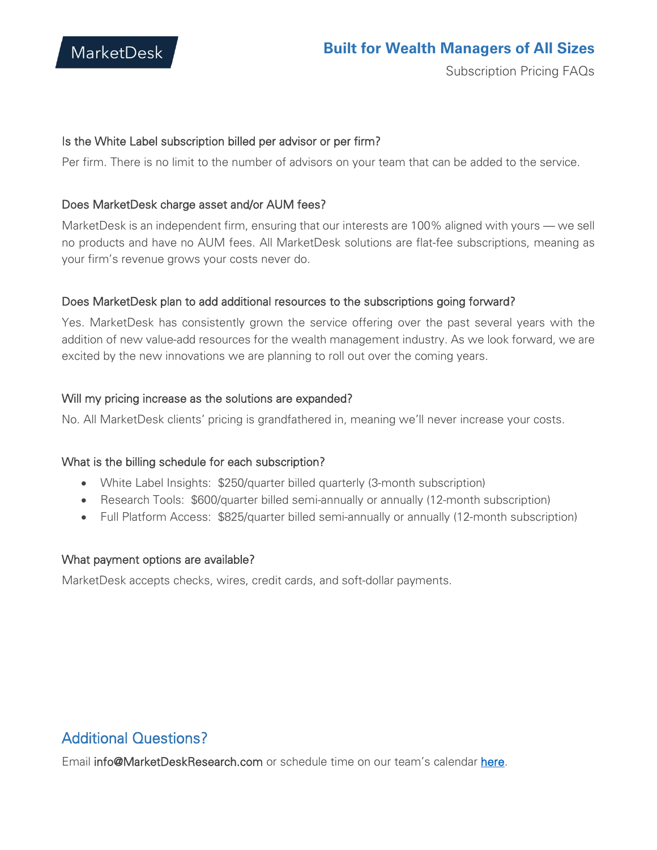

#### Is the White Label subscription billed per advisor or per firm?

Per firm. There is no limit to the number of advisors on your team that can be added to the service.

#### Does MarketDesk charge asset and/or AUM fees?

MarketDesk is an independent firm, ensuring that our interests are 100% aligned with yours — we sell no products and have no AUM fees. All MarketDesk solutions are flat-fee subscriptions, meaning as your firm's revenue grows your costs never do.

#### Does MarketDesk plan to add additional resources to the subscriptions going forward?

Yes. MarketDesk has consistently grown the service offering over the past several years with the addition of new value-add resources for the wealth management industry. As we look forward, we are excited by the new innovations we are planning to roll out over the coming years.

#### Will my pricing increase as the solutions are expanded?

No. All MarketDesk clients' pricing is grandfathered in, meaning we'll never increase your costs.

#### What is the billing schedule for each subscription?

- White Label Insights: \$250/quarter billed quarterly (3-month subscription)
- Research Tools: \$600/quarter billed semi-annually or annually (12-month subscription)
- Full Platform Access: \$825/quarter billed semi-annually or annually (12-month subscription)

#### What payment options are available?

MarketDesk accepts checks, wires, credit cards, and soft-dollar payments.

### Additional Questions?

Email info@MarketDeskResearch.com or schedule time on our team's calendar [here.](https://meetings.hubspot.com/jon85)